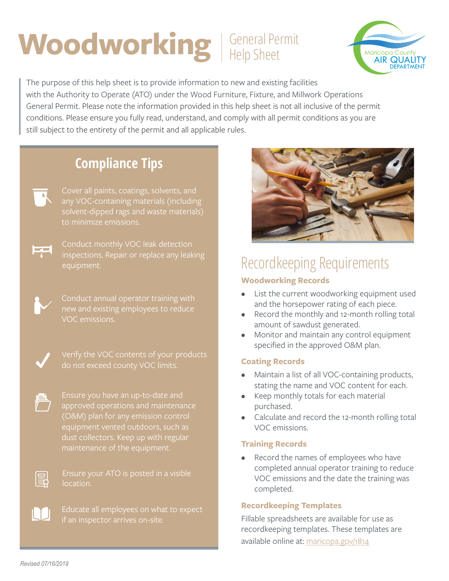## Woodworking General Permit Help Sheet



The purpose of this help sheet is to provide information to new and existing facilities with the Authority to Operate (ATO) under the Wood Furniture, Fixture, and Millwork Operations General Permit. Please note the information provided in this help sheet is not all inclusive of the permit conditions. Please ensure you fully read, understand, and comply with all permit conditions as you are still subject to the entirety of the permit and all applicable rules.

## **Compliance Tips**



Cover all paints, coatings, solvents, and solvent-dipped rags and waste materials) to minimize emissions.



inspections. Repair or replace any leaking equipment.



Conduct annual operator training with new and existing employees to reduce VOC emissions.

approved operations and maintenance equipment vented outdoors, such as dust collectors. Keep up with regular

Ensure your ATO is posted in a visible location.



圓

Educate all employees on what to expect if an inspector arrives on-site.



## Recordkeeping Requirements

#### **Woodworking Records**

- List the current woodworking equipment used and the horsepower rating of each piece.
- Record the monthly and 12-month rolling total amount of sawdust generated.
- Monitor and maintain any control equipment specified in the approved O&M plan.

#### **Coating Records**

- Maintain a list of all VOC-containing products, stating the name and VOC content for each.
- Keep monthly totals for each material purchased.
- Calculate and record the 12-month rolling total VOC emissions.

#### **Training Records**

• Record the names of employees who have completed annual operator training to reduce VOC emissions and the date the training was completed.

#### **Recordkeeping Templates**

Fillable spreadsheets are available for use as recordkeeping templates. These templates are available online at: maricopa.gov/1814